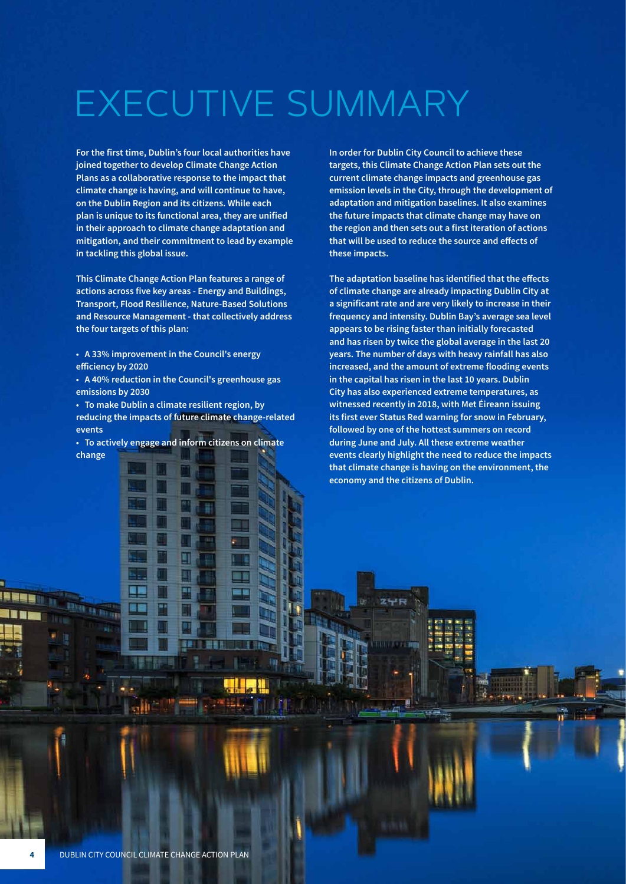# EXECUTIVE SUMMARY

**For the first time, Dublin's four local authorities have joined together to develop Climate Change Action Plans as a collaborative response to the impact that climate change is having, and will continue to have, on the Dublin Region and its citizens. While each plan is unique to its functional area, they are unified in their approach to climate change adaptation and mitigation, and their commitment to lead by example in tackling this global issue.**

**This Climate Change Action Plan features a range of actions across five key areas - Energy and Buildings, Transport, Flood Resilience, Nature-Based Solutions and Resource Management - that collectively address the four targets of this plan:**

**• A 33% improvement in the Council's energy efficiency by 2020**

**• A 40% reduction in the Council's greenhouse gas emissions by 2030**

**• To make Dublin a climate resilient region, by reducing the impacts of future climate change-related events**

**• To actively engage and inform citizens on climate change** 

**In order for Dublin City Council to achieve these targets, this Climate Change Action Plan sets out the current climate change impacts and greenhouse gas emission levels in the City, through the development of adaptation and mitigation baselines. It also examines the future impacts that climate change may have on the region and then sets out a first iteration of actions that will be used to reduce the source and effects of these impacts.**

**The adaptation baseline has identified that the effects of climate change are already impacting Dublin City at a significant rate and are very likely to increase in their frequency and intensity. Dublin Bay's average sea level appears to be rising faster than initially forecasted and has risen by twice the global average in the last 20 years. The number of days with heavy rainfall has also increased, and the amount of extreme flooding events in the capital has risen in the last 10 years. Dublin City has also experienced extreme temperatures, as witnessed recently in 2018, with Met Éireann issuing its first ever Status Red warning for snow in February, followed by one of the hottest summers on record during June and July. All these extreme weather events clearly highlight the need to reduce the impacts that climate change is having on the environment, the economy and the citizens of Dublin.**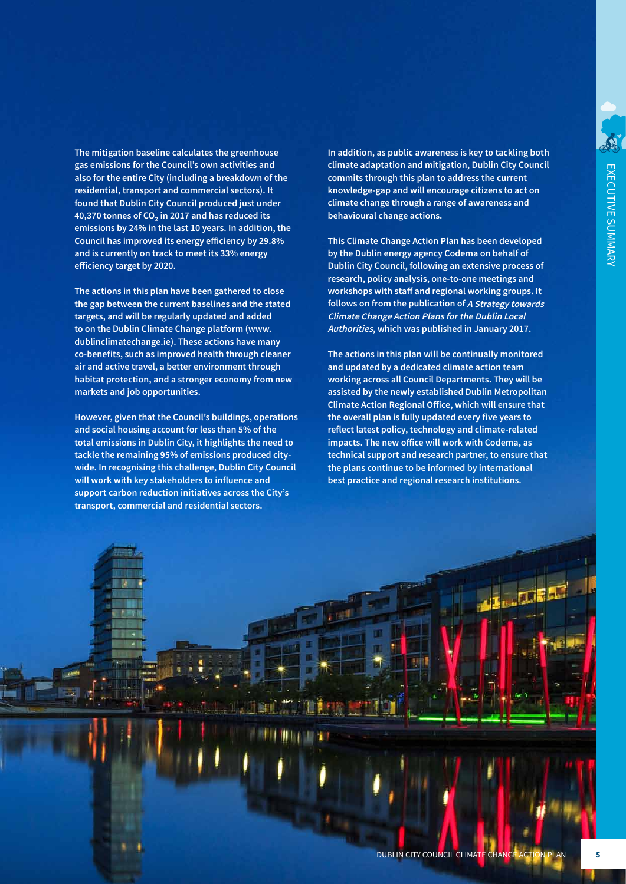**The mitigation baseline calculates the greenhouse gas emissions for the Council's own activities and also for the entire City (including a breakdown of the residential, transport and commercial sectors). It found that Dublin City Council produced just under 40,370 tonnes of CO₂ in 2017 and has reduced its emissions by 24% in the last 10 years. In addition, the Council has improved its energy efficiency by 29.8% and is currently on track to meet its 33% energy efficiency target by 2020.** 

**The actions in this plan have been gathered to close the gap between the current baselines and the stated targets, and will be regularly updated and added to on the Dublin Climate Change platform (www. dublinclimatechange.ie). These actions have many co-benefits, such as improved health through cleaner air and active travel, a better environment through habitat protection, and a stronger economy from new markets and job opportunities.**

**However, given that the Council's buildings, operations and social housing account for less than 5% of the total emissions in Dublin City, it highlights the need to tackle the remaining 95% of emissions produced citywide. In recognising this challenge, Dublin City Council will work with key stakeholders to influence and support carbon reduction initiatives across the City's transport, commercial and residential sectors.**

**In addition, as public awareness is key to tackling both climate adaptation and mitigation, Dublin City Council commits through this plan to address the current knowledge-gap and will encourage citizens to act on climate change through a range of awareness and behavioural change actions.**

**This Climate Change Action Plan has been developed by the Dublin energy agency Codema on behalf of Dublin City Council, following an extensive process of research, policy analysis, one-to-one meetings and workshops with staff and regional working groups. It follows on from the publication of A Strategy towards Climate Change Action Plans for the Dublin Local Authorities, which was published in January 2017.** 

**The actions in this plan will be continually monitored and updated by a dedicated climate action team working across all Council Departments. They will be assisted by the newly established Dublin Metropolitan Climate Action Regional Office, which will ensure that the overall plan is fully updated every five years to reflect latest policy, technology and climate-related impacts. The new office will work with Codema, as technical support and research partner, to ensure that the plans continue to be informed by international best practice and regional research institutions.**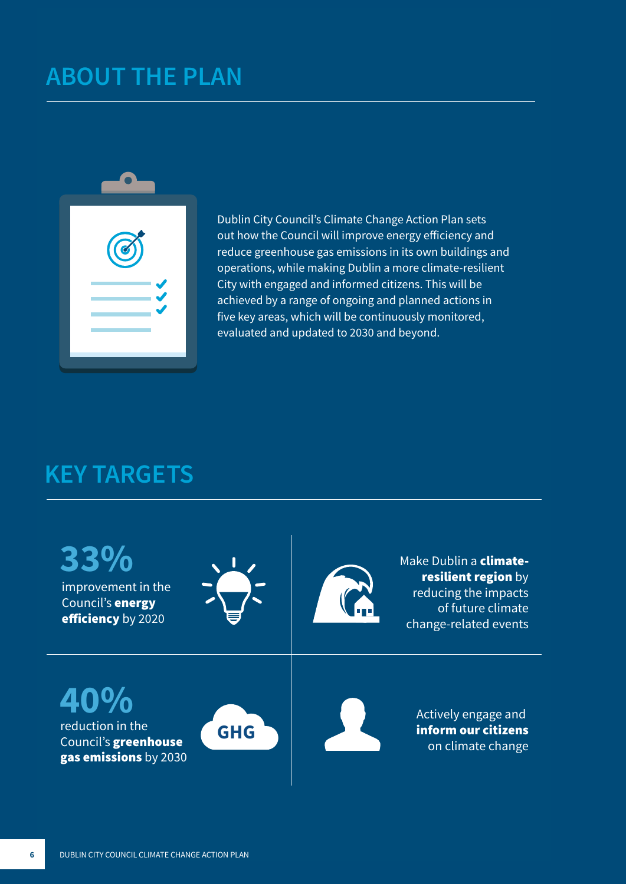### **ABOUT THE PLAN**



Dublin City Council's Climate Change Action Plan sets out how the Council will improve energy efficiency and reduce greenhouse gas emissions in its own buildings and operations, while making Dublin a more climate-resilient City with engaged and informed citizens. This will be achieved by a range of ongoing and planned actions in five key areas, which will be continuously monitored, evaluated and updated to 2030 and beyond.

#### **KEY TARGETS**